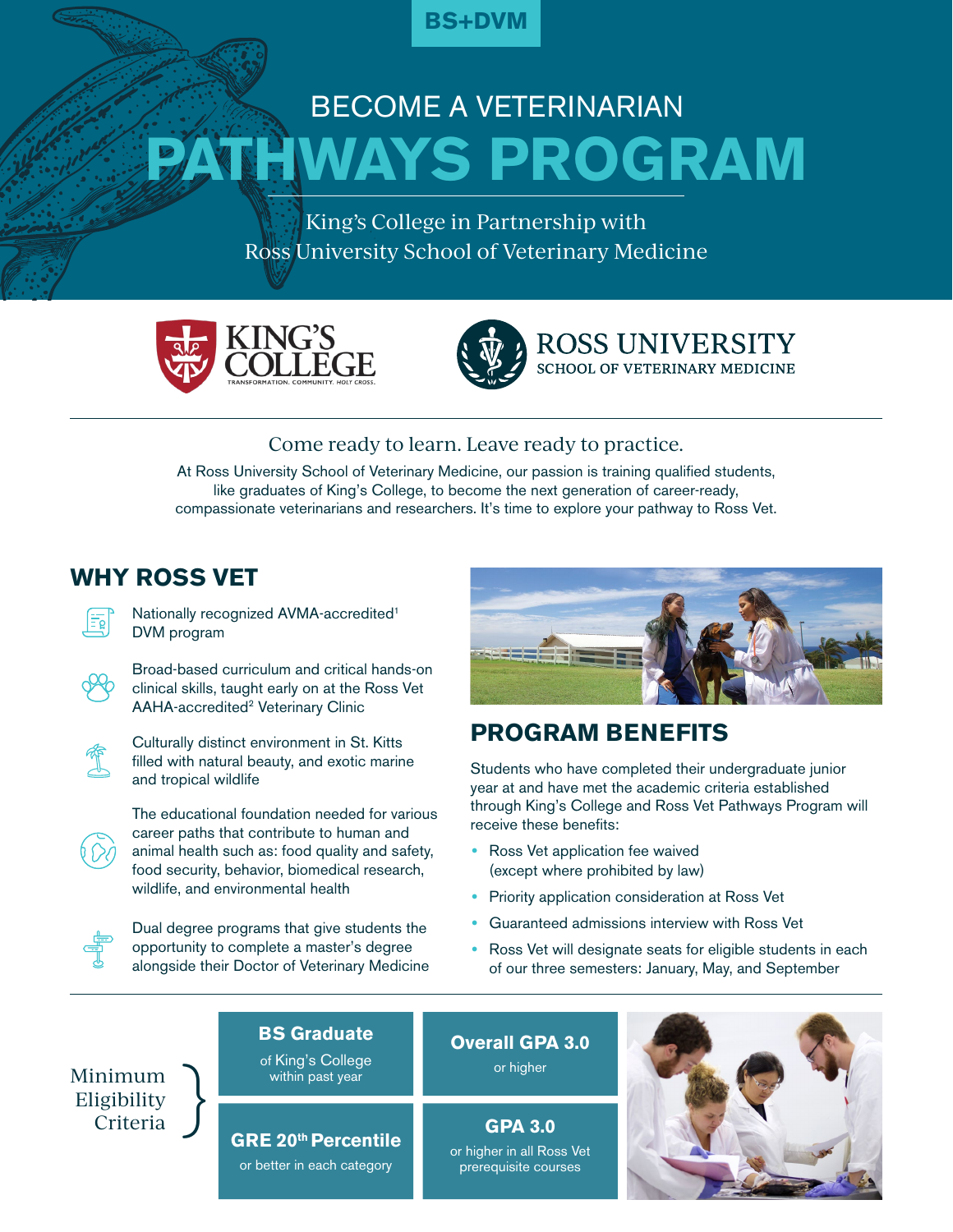

# **PATHWAYS PROGRAM** BECOME A VETERINARIAN

King's College in Partnership with Ross University School of Veterinary Medicine





**ROSS UNIVERSITY SCHOOL OF VETERINARY MEDICINE** 

## Come ready to learn. Leave ready to practice.

At Ross University School of Veterinary Medicine, our passion is training qualified students, like graduates of King's College, to become the next generation of career-ready, compassionate veterinarians and researchers. It's time to explore your pathway to Ross Vet.

# **WHY ROSS VET**



Nationally recognized AVMA-accredited1 DVM program



Broad-based curriculum and critical hands-on clinical skills, taught early on at the Ross Vet AAHA-accredited<sup>2</sup> Veterinary Clinic



Culturally distinct environment in St. Kitts filled with natural beauty, and exotic marine and tropical wildlife



The educational foundation needed for various career paths that contribute to human and animal health such as: food quality and safety, food security, behavior, biomedical research, wildlife, and environmental health



Dual degree programs that give students the opportunity to complete a master's degree alongside their Doctor of Veterinary Medicine



# **PROGRAM BENEFITS**

Students who have completed their undergraduate junior year at and have met the academic criteria established through King's College and Ross Vet Pathways Program will receive these benefits:

- **•** Ross Vet application fee waived (except where prohibited by law)
- **•** Priority application consideration at Ross Vet
- **•** Guaranteed admissions interview with Ross Vet
- **•** Ross Vet will designate seats for eligible students in each of our three semesters: January, May, and September